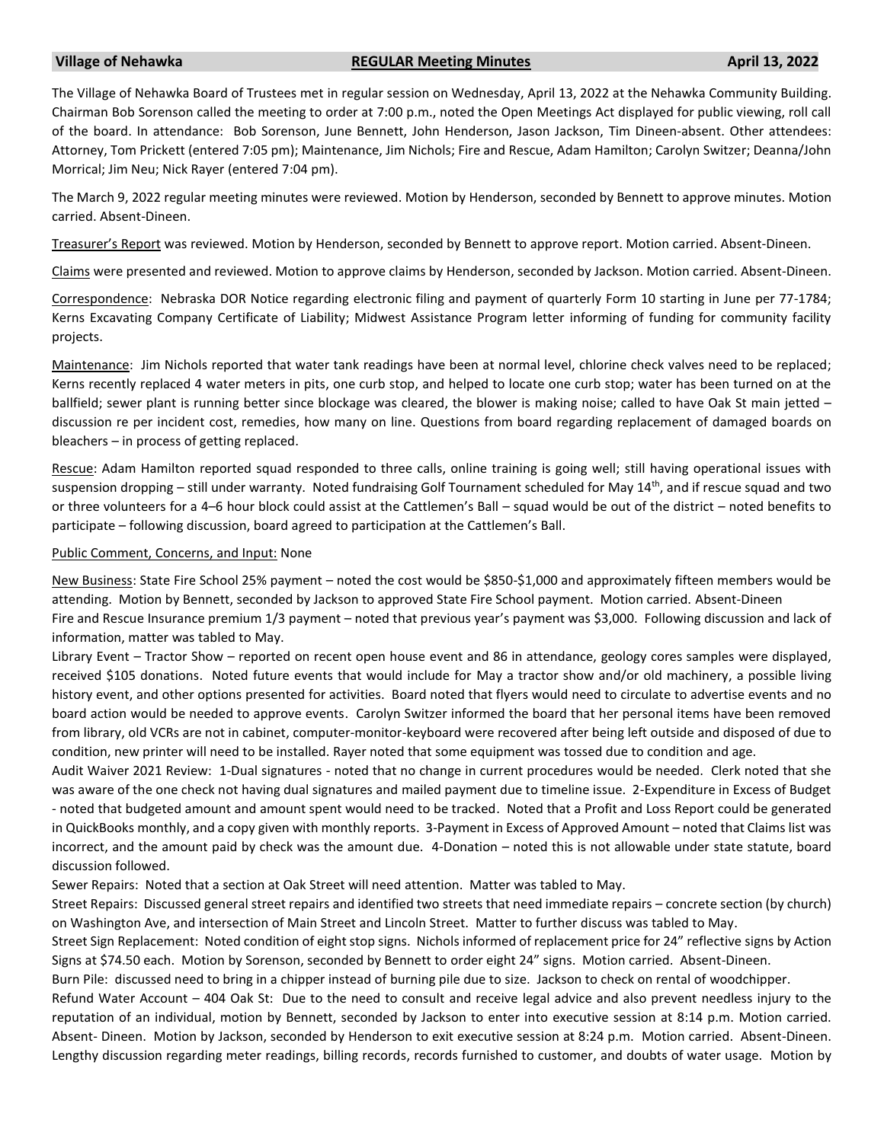## **Village of Nehawka REGULAR Meeting Minutes April 13, 2022**

The Village of Nehawka Board of Trustees met in regular session on Wednesday, April 13, 2022 at the Nehawka Community Building. Chairman Bob Sorenson called the meeting to order at 7:00 p.m., noted the Open Meetings Act displayed for public viewing, roll call of the board. In attendance: Bob Sorenson, June Bennett, John Henderson, Jason Jackson, Tim Dineen-absent. Other attendees: Attorney, Tom Prickett (entered 7:05 pm); Maintenance, Jim Nichols; Fire and Rescue, Adam Hamilton; Carolyn Switzer; Deanna/John Morrical; Jim Neu; Nick Rayer (entered 7:04 pm).

The March 9, 2022 regular meeting minutes were reviewed. Motion by Henderson, seconded by Bennett to approve minutes. Motion carried. Absent-Dineen.

Treasurer's Report was reviewed. Motion by Henderson, seconded by Bennett to approve report. Motion carried. Absent-Dineen.

Claims were presented and reviewed. Motion to approve claims by Henderson, seconded by Jackson. Motion carried. Absent-Dineen.

Correspondence: Nebraska DOR Notice regarding electronic filing and payment of quarterly Form 10 starting in June per 77-1784; Kerns Excavating Company Certificate of Liability; Midwest Assistance Program letter informing of funding for community facility projects.

Maintenance: Jim Nichols reported that water tank readings have been at normal level, chlorine check valves need to be replaced; Kerns recently replaced 4 water meters in pits, one curb stop, and helped to locate one curb stop; water has been turned on at the ballfield; sewer plant is running better since blockage was cleared, the blower is making noise; called to have Oak St main jetted – discussion re per incident cost, remedies, how many on line. Questions from board regarding replacement of damaged boards on bleachers – in process of getting replaced.

Rescue: Adam Hamilton reported squad responded to three calls, online training is going well; still having operational issues with suspension dropping – still under warranty. Noted fundraising Golf Tournament scheduled for May 14<sup>th</sup>, and if rescue squad and two or three volunteers for a 4–6 hour block could assist at the Cattlemen's Ball – squad would be out of the district – noted benefits to participate – following discussion, board agreed to participation at the Cattlemen's Ball.

## Public Comment, Concerns, and Input: None

New Business: State Fire School 25% payment – noted the cost would be \$850-\$1,000 and approximately fifteen members would be attending. Motion by Bennett, seconded by Jackson to approved State Fire School payment. Motion carried. Absent-Dineen Fire and Rescue Insurance premium 1/3 payment – noted that previous year's payment was \$3,000. Following discussion and lack of information, matter was tabled to May.

Library Event – Tractor Show – reported on recent open house event and 86 in attendance, geology cores samples were displayed, received \$105 donations. Noted future events that would include for May a tractor show and/or old machinery, a possible living history event, and other options presented for activities. Board noted that flyers would need to circulate to advertise events and no board action would be needed to approve events. Carolyn Switzer informed the board that her personal items have been removed from library, old VCRs are not in cabinet, computer-monitor-keyboard were recovered after being left outside and disposed of due to condition, new printer will need to be installed. Rayer noted that some equipment was tossed due to condition and age.

Audit Waiver 2021 Review: 1-Dual signatures - noted that no change in current procedures would be needed. Clerk noted that she was aware of the one check not having dual signatures and mailed payment due to timeline issue. 2-Expenditure in Excess of Budget - noted that budgeted amount and amount spent would need to be tracked. Noted that a Profit and Loss Report could be generated in QuickBooks monthly, and a copy given with monthly reports. 3-Payment in Excess of Approved Amount – noted that Claims list was incorrect, and the amount paid by check was the amount due. 4-Donation – noted this is not allowable under state statute, board discussion followed.

Sewer Repairs: Noted that a section at Oak Street will need attention. Matter was tabled to May.

Street Repairs: Discussed general street repairs and identified two streets that need immediate repairs – concrete section (by church) on Washington Ave, and intersection of Main Street and Lincoln Street. Matter to further discuss was tabled to May.

Street Sign Replacement: Noted condition of eight stop signs. Nichols informed of replacement price for 24" reflective signs by Action Signs at \$74.50 each. Motion by Sorenson, seconded by Bennett to order eight 24" signs. Motion carried. Absent-Dineen.

Burn Pile: discussed need to bring in a chipper instead of burning pile due to size. Jackson to check on rental of woodchipper.

Refund Water Account – 404 Oak St: Due to the need to consult and receive legal advice and also prevent needless injury to the reputation of an individual, motion by Bennett, seconded by Jackson to enter into executive session at 8:14 p.m. Motion carried. Absent- Dineen. Motion by Jackson, seconded by Henderson to exit executive session at 8:24 p.m. Motion carried. Absent-Dineen. Lengthy discussion regarding meter readings, billing records, records furnished to customer, and doubts of water usage. Motion by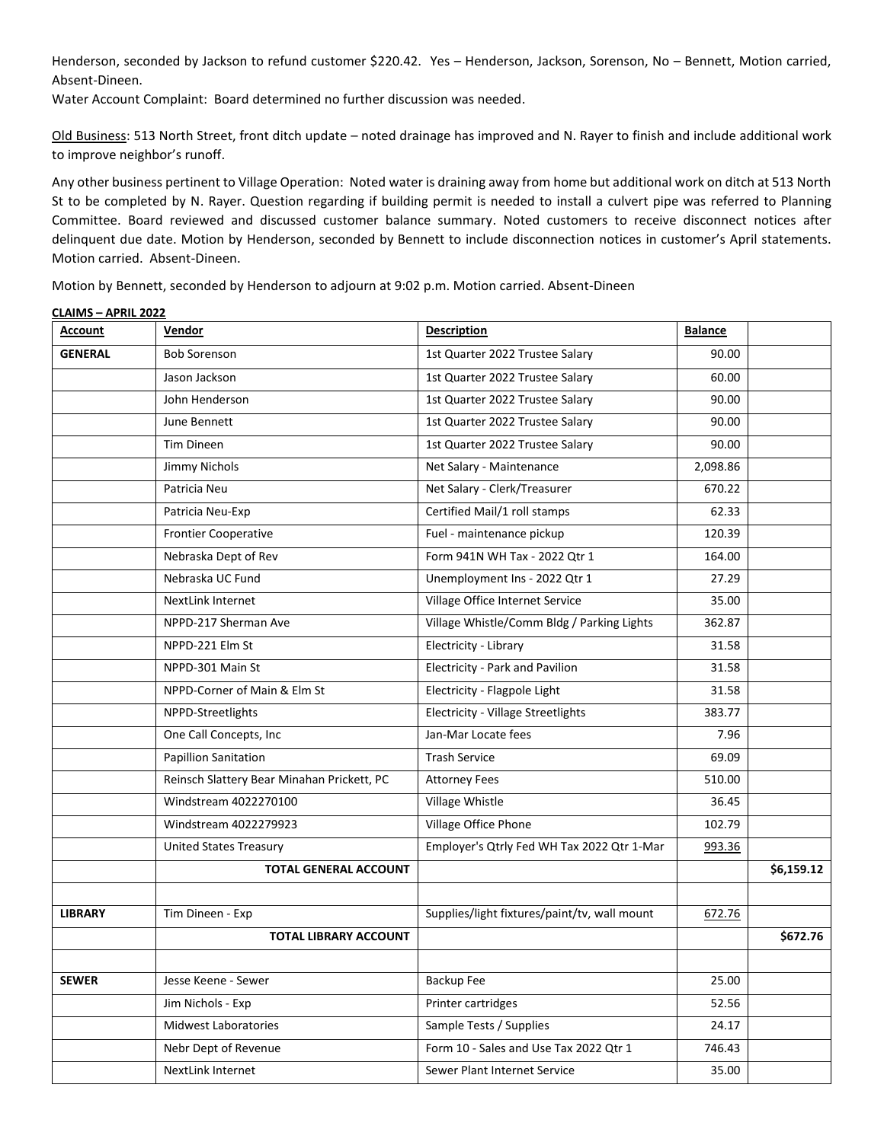Henderson, seconded by Jackson to refund customer \$220.42. Yes – Henderson, Jackson, Sorenson, No – Bennett, Motion carried, Absent-Dineen.

Water Account Complaint: Board determined no further discussion was needed.

**CLAIMS – APRIL 2022**

Old Business: 513 North Street, front ditch update – noted drainage has improved and N. Rayer to finish and include additional work to improve neighbor's runoff.

Any other business pertinent to Village Operation: Noted water is draining away from home but additional work on ditch at 513 North St to be completed by N. Rayer. Question regarding if building permit is needed to install a culvert pipe was referred to Planning Committee. Board reviewed and discussed customer balance summary. Noted customers to receive disconnect notices after delinquent due date. Motion by Henderson, seconded by Bennett to include disconnection notices in customer's April statements. Motion carried. Absent-Dineen.

Motion by Bennett, seconded by Henderson to adjourn at 9:02 p.m. Motion carried. Absent-Dineen

| <b>Account</b> | Vendor                                     | <b>Description</b>                           | <b>Balance</b> |            |
|----------------|--------------------------------------------|----------------------------------------------|----------------|------------|
| <b>GENERAL</b> | <b>Bob Sorenson</b>                        | 1st Quarter 2022 Trustee Salary              | 90.00          |            |
|                | Jason Jackson                              | 1st Quarter 2022 Trustee Salary              | 60.00          |            |
|                | John Henderson                             | 1st Quarter 2022 Trustee Salary              | 90.00          |            |
|                | June Bennett                               | 1st Quarter 2022 Trustee Salary              | 90.00          |            |
|                | Tim Dineen                                 | 1st Quarter 2022 Trustee Salary              | 90.00          |            |
|                | Jimmy Nichols                              | Net Salary - Maintenance                     | 2,098.86       |            |
|                | Patricia Neu                               | Net Salary - Clerk/Treasurer                 | 670.22         |            |
|                | Patricia Neu-Exp                           | Certified Mail/1 roll stamps                 | 62.33          |            |
|                | <b>Frontier Cooperative</b>                | Fuel - maintenance pickup                    | 120.39         |            |
|                | Nebraska Dept of Rev                       | Form 941N WH Tax - 2022 Qtr 1                | 164.00         |            |
|                | Nebraska UC Fund                           | Unemployment Ins - 2022 Qtr 1                | 27.29          |            |
|                | NextLink Internet                          | Village Office Internet Service              | 35.00          |            |
|                | NPPD-217 Sherman Ave                       | Village Whistle/Comm Bldg / Parking Lights   | 362.87         |            |
|                | NPPD-221 Elm St                            | Electricity - Library                        | 31.58          |            |
|                | NPPD-301 Main St                           | Electricity - Park and Pavilion              | 31.58          |            |
|                | NPPD-Corner of Main & Elm St               | Electricity - Flagpole Light                 | 31.58          |            |
|                | NPPD-Streetlights                          | <b>Electricity - Village Streetlights</b>    | 383.77         |            |
|                | One Call Concepts, Inc                     | Jan-Mar Locate fees                          | 7.96           |            |
|                | <b>Papillion Sanitation</b>                | <b>Trash Service</b>                         | 69.09          |            |
|                | Reinsch Slattery Bear Minahan Prickett, PC | <b>Attorney Fees</b>                         | 510.00         |            |
|                | Windstream 4022270100                      | Village Whistle                              | 36.45          |            |
|                | Windstream 4022279923                      | Village Office Phone                         | 102.79         |            |
|                | <b>United States Treasury</b>              | Employer's Qtrly Fed WH Tax 2022 Qtr 1-Mar   | 993.36         |            |
|                | <b>TOTAL GENERAL ACCOUNT</b>               |                                              |                | \$6,159.12 |
|                |                                            |                                              |                |            |
| <b>LIBRARY</b> | Tim Dineen - Exp                           | Supplies/light fixtures/paint/tv, wall mount | 672.76         |            |
|                | <b>TOTAL LIBRARY ACCOUNT</b>               |                                              |                | \$672.76   |
|                |                                            |                                              |                |            |
| <b>SEWER</b>   | Jesse Keene - Sewer                        | Backup Fee                                   | 25.00          |            |
|                | Jim Nichols - Exp                          | Printer cartridges                           | 52.56          |            |
|                | <b>Midwest Laboratories</b>                | Sample Tests / Supplies                      | 24.17          |            |
|                | Nebr Dept of Revenue                       | Form 10 - Sales and Use Tax 2022 Qtr 1       | 746.43         |            |
|                | NextLink Internet                          | Sewer Plant Internet Service                 | 35.00          |            |